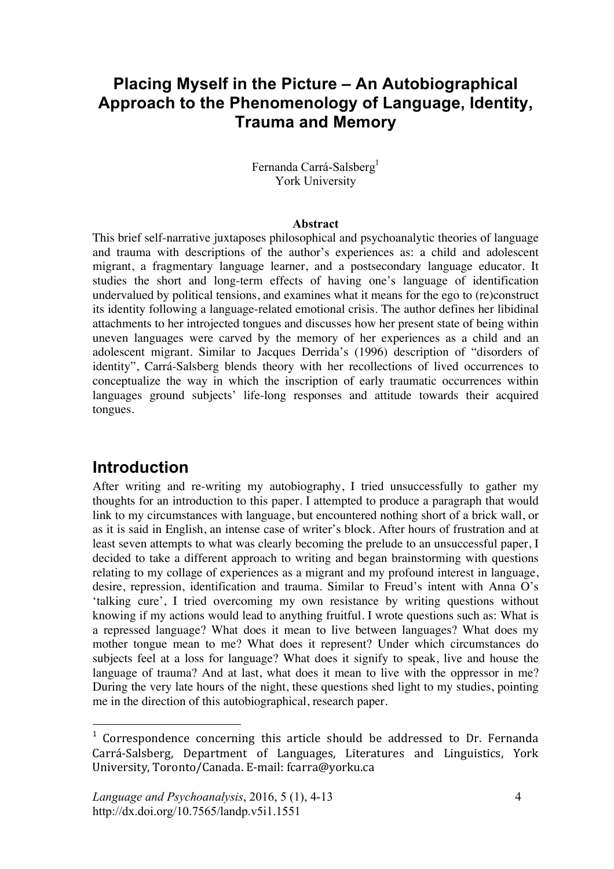# **Placing Myself in the Picture – An Autobiographical Approach to the Phenomenology of Language, Identity, Trauma and Memory**

Fernanda Carrá-Salsberg<sup>1</sup> York University

#### **Abstract**

This brief self-narrative juxtaposes philosophical and psychoanalytic theories of language and trauma with descriptions of the author's experiences as: a child and adolescent migrant, a fragmentary language learner, and a postsecondary language educator. It studies the short and long-term effects of having one's language of identification undervalued by political tensions, and examines what it means for the ego to (re)construct its identity following a language-related emotional crisis. The author defines her libidinal attachments to her introjected tongues and discusses how her present state of being within uneven languages were carved by the memory of her experiences as a child and an adolescent migrant. Similar to Jacques Derrida's (1996) description of "disorders of identity", Carrá-Salsberg blends theory with her recollections of lived occurrences to conceptualize the way in which the inscription of early traumatic occurrences within languages ground subjects' life-long responses and attitude towards their acquired tongues.

### **Introduction**

 $\overline{a}$ 

After writing and re-writing my autobiography, I tried unsuccessfully to gather my thoughts for an introduction to this paper. I attempted to produce a paragraph that would link to my circumstances with language, but encountered nothing short of a brick wall, or as it is said in English, an intense case of writer's block. After hours of frustration and at least seven attempts to what was clearly becoming the prelude to an unsuccessful paper, I decided to take a different approach to writing and began brainstorming with questions relating to my collage of experiences as a migrant and my profound interest in language, desire, repression, identification and trauma. Similar to Freud's intent with Anna O's 'talking cure', I tried overcoming my own resistance by writing questions without knowing if my actions would lead to anything fruitful. I wrote questions such as: What is a repressed language? What does it mean to live between languages? What does my mother tongue mean to me? What does it represent? Under which circumstances do subjects feel at a loss for language? What does it signify to speak, live and house the language of trauma? And at last, what does it mean to live with the oppressor in me? During the very late hours of the night, these questions shed light to my studies, pointing me in the direction of this autobiographical, research paper.

 $1$  Correspondence concerning this article should be addressed to Dr. Fernanda Carrá-Salsberg, Department of Languages, Literatures and Linguistics, York University, Toronto/Canada. E-mail: fcarra@yorku.ca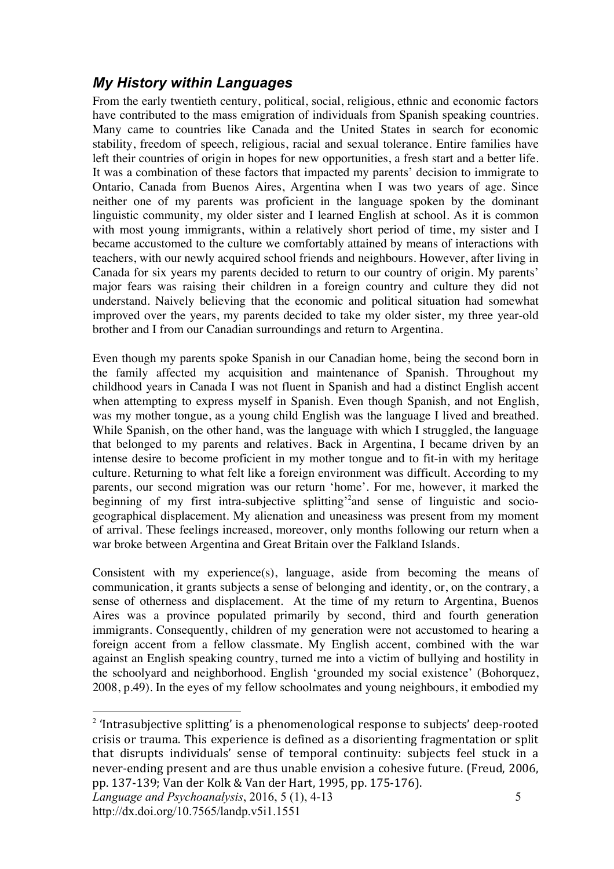### *My History within Languages*

From the early twentieth century, political, social, religious, ethnic and economic factors have contributed to the mass emigration of individuals from Spanish speaking countries. Many came to countries like Canada and the United States in search for economic stability, freedom of speech, religious, racial and sexual tolerance. Entire families have left their countries of origin in hopes for new opportunities, a fresh start and a better life. It was a combination of these factors that impacted my parents' decision to immigrate to Ontario, Canada from Buenos Aires, Argentina when I was two years of age. Since neither one of my parents was proficient in the language spoken by the dominant linguistic community, my older sister and I learned English at school. As it is common with most young immigrants, within a relatively short period of time, my sister and I became accustomed to the culture we comfortably attained by means of interactions with teachers, with our newly acquired school friends and neighbours. However, after living in Canada for six years my parents decided to return to our country of origin. My parents' major fears was raising their children in a foreign country and culture they did not understand. Naively believing that the economic and political situation had somewhat improved over the years, my parents decided to take my older sister, my three year-old brother and I from our Canadian surroundings and return to Argentina.

Even though my parents spoke Spanish in our Canadian home, being the second born in the family affected my acquisition and maintenance of Spanish. Throughout my childhood years in Canada I was not fluent in Spanish and had a distinct English accent when attempting to express myself in Spanish. Even though Spanish, and not English, was my mother tongue, as a young child English was the language I lived and breathed. While Spanish, on the other hand, was the language with which I struggled, the language that belonged to my parents and relatives. Back in Argentina, I became driven by an intense desire to become proficient in my mother tongue and to fit-in with my heritage culture. Returning to what felt like a foreign environment was difficult. According to my parents, our second migration was our return 'home'. For me, however, it marked the beginning of my first intra-subjective splitting<sup>'2</sup> and sense of linguistic and sociogeographical displacement. My alienation and uneasiness was present from my moment of arrival. These feelings increased, moreover, only months following our return when a war broke between Argentina and Great Britain over the Falkland Islands.

Consistent with my experience(s), language, aside from becoming the means of communication, it grants subjects a sense of belonging and identity, or, on the contrary, a sense of otherness and displacement. At the time of my return to Argentina, Buenos Aires was a province populated primarily by second, third and fourth generation immigrants. Consequently, children of my generation were not accustomed to hearing a foreign accent from a fellow classmate. My English accent, combined with the war against an English speaking country, turned me into a victim of bullying and hostility in the schoolyard and neighborhood. English 'grounded my social existence' (Bohorquez, 2008, p.49). In the eyes of my fellow schoolmates and young neighbours, it embodied my

 $2$  'Intrasubjective splitting' is a phenomenological response to subjects' deep-rooted crisis or trauma. This experience is defined as a disorienting fragmentation or split that disrupts individuals' sense of temporal continuity: subjects feel stuck in a never-ending present and are thus unable envision a cohesive future. (Freud, 2006, pp. 137-139; Van der Kolk & Van der Hart, 1995, pp. 175-176).

*Language and Psychoanalysis*, 2016, 5 (1), 4-13 http://dx.doi.org/10.7565/landp.v5i1.1551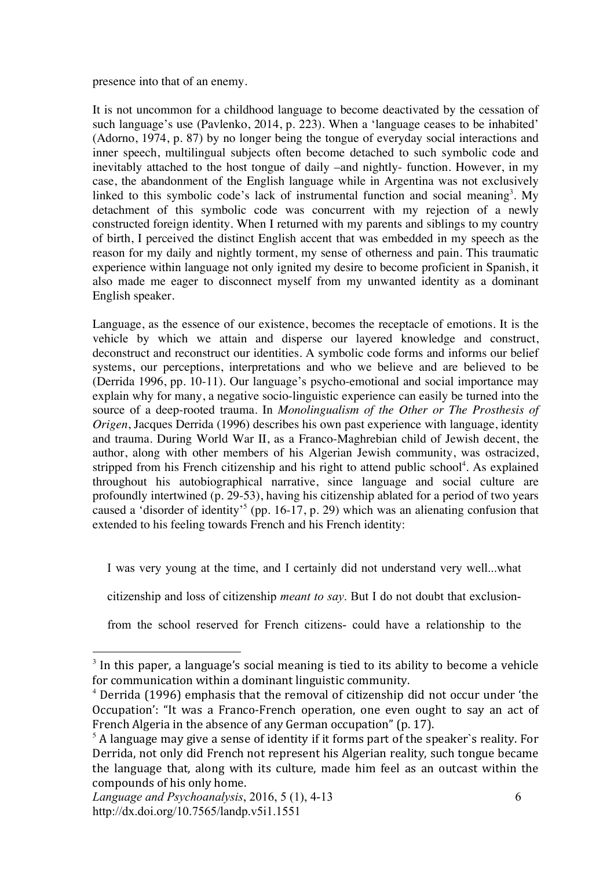presence into that of an enemy.

It is not uncommon for a childhood language to become deactivated by the cessation of such language's use (Pavlenko, 2014, p. 223). When a 'language ceases to be inhabited' (Adorno, 1974, p. 87) by no longer being the tongue of everyday social interactions and inner speech, multilingual subjects often become detached to such symbolic code and inevitably attached to the host tongue of daily –and nightly- function. However, in my case, the abandonment of the English language while in Argentina was not exclusively linked to this symbolic code's lack of instrumental function and social meaning<sup>3</sup>. My detachment of this symbolic code was concurrent with my rejection of a newly constructed foreign identity. When I returned with my parents and siblings to my country of birth, I perceived the distinct English accent that was embedded in my speech as the reason for my daily and nightly torment, my sense of otherness and pain. This traumatic experience within language not only ignited my desire to become proficient in Spanish, it also made me eager to disconnect myself from my unwanted identity as a dominant English speaker.

Language, as the essence of our existence, becomes the receptacle of emotions. It is the vehicle by which we attain and disperse our layered knowledge and construct, deconstruct and reconstruct our identities. A symbolic code forms and informs our belief systems, our perceptions, interpretations and who we believe and are believed to be (Derrida 1996, pp. 10-11). Our language's psycho-emotional and social importance may explain why for many, a negative socio-linguistic experience can easily be turned into the source of a deep-rooted trauma. In *Monolingualism of the Other or The Prosthesis of Origen*, Jacques Derrida (1996) describes his own past experience with language, identity and trauma. During World War II, as a Franco-Maghrebian child of Jewish decent, the author, along with other members of his Algerian Jewish community, was ostracized, stripped from his French citizenship and his right to attend public school<sup>4</sup>. As explained throughout his autobiographical narrative, since language and social culture are profoundly intertwined (p. 29-53), having his citizenship ablated for a period of two years caused a 'disorder of identity'<sup>5</sup> (pp. 16-17, p. 29) which was an alienating confusion that extended to his feeling towards French and his French identity:

I was very young at the time, and I certainly did not understand very well...what

citizenship and loss of citizenship *meant to say*. But I do not doubt that exclusion-

from the school reserved for French citizens- could have a relationship to the

 $3$  In this paper, a language's social meaning is tied to its ability to become a vehicle for communication within a dominant linguistic community.

 $4$  Derrida (1996) emphasis that the removal of citizenship did not occur under 'the Occupation': "It was a Franco-French operation, one even ought to say an act of French Algeria in the absence of any German occupation" (p. 17).

 $<sup>5</sup>$  A language may give a sense of identity if it forms part of the speaker`s reality. For</sup> Derrida, not only did French not represent his Algerian reality, such tongue became the language that, along with its culture, made him feel as an outcast within the compounds of his only home.

*Language and Psychoanalysis*, 2016, 5 (1), 4-13 http://dx.doi.org/10.7565/landp.v5i1.1551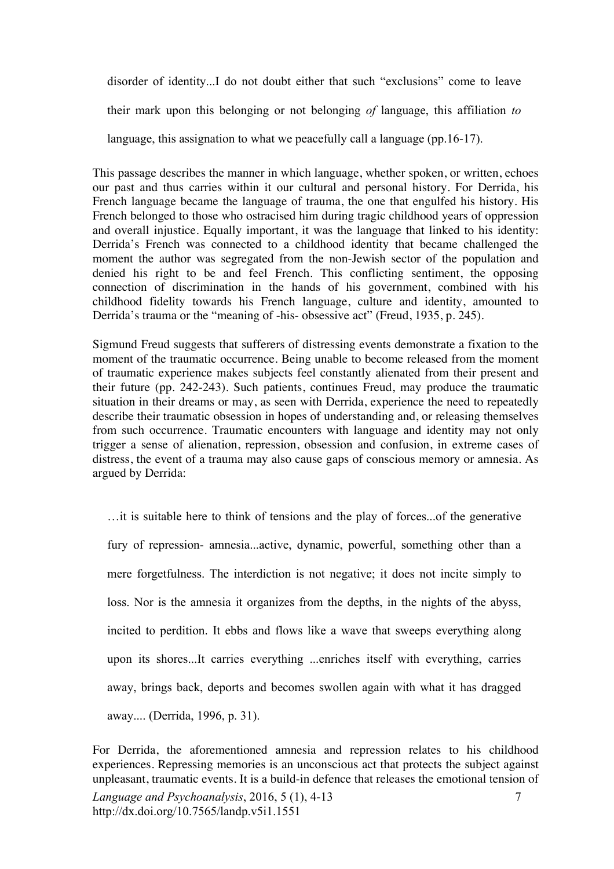disorder of identity...I do not doubt either that such "exclusions" come to leave their mark upon this belonging or not belonging *of* language, this affiliation *to* language, this assignation to what we peacefully call a language (pp.16-17).

This passage describes the manner in which language, whether spoken, or written, echoes our past and thus carries within it our cultural and personal history. For Derrida, his French language became the language of trauma, the one that engulfed his history. His French belonged to those who ostracised him during tragic childhood years of oppression and overall injustice. Equally important, it was the language that linked to his identity: Derrida's French was connected to a childhood identity that became challenged the moment the author was segregated from the non-Jewish sector of the population and denied his right to be and feel French. This conflicting sentiment, the opposing connection of discrimination in the hands of his government, combined with his childhood fidelity towards his French language, culture and identity, amounted to Derrida's trauma or the "meaning of -his- obsessive act" (Freud, 1935, p. 245).

Sigmund Freud suggests that sufferers of distressing events demonstrate a fixation to the moment of the traumatic occurrence. Being unable to become released from the moment of traumatic experience makes subjects feel constantly alienated from their present and their future (pp. 242-243). Such patients, continues Freud, may produce the traumatic situation in their dreams or may, as seen with Derrida, experience the need to repeatedly describe their traumatic obsession in hopes of understanding and, or releasing themselves from such occurrence. Traumatic encounters with language and identity may not only trigger a sense of alienation, repression, obsession and confusion, in extreme cases of distress, the event of a trauma may also cause gaps of conscious memory or amnesia. As argued by Derrida:

…it is suitable here to think of tensions and the play of forces...of the generative fury of repression- amnesia...active, dynamic, powerful, something other than a mere forgetfulness. The interdiction is not negative; it does not incite simply to loss. Nor is the amnesia it organizes from the depths, in the nights of the abyss, incited to perdition. It ebbs and flows like a wave that sweeps everything along upon its shores...It carries everything ...enriches itself with everything, carries away, brings back, deports and becomes swollen again with what it has dragged away.... (Derrida, 1996, p. 31).

*Language and Psychoanalysis*, 2016, 5 (1), 4-13 http://dx.doi.org/10.7565/landp.v5i1.1551 7 For Derrida, the aforementioned amnesia and repression relates to his childhood experiences. Repressing memories is an unconscious act that protects the subject against unpleasant, traumatic events. It is a build-in defence that releases the emotional tension of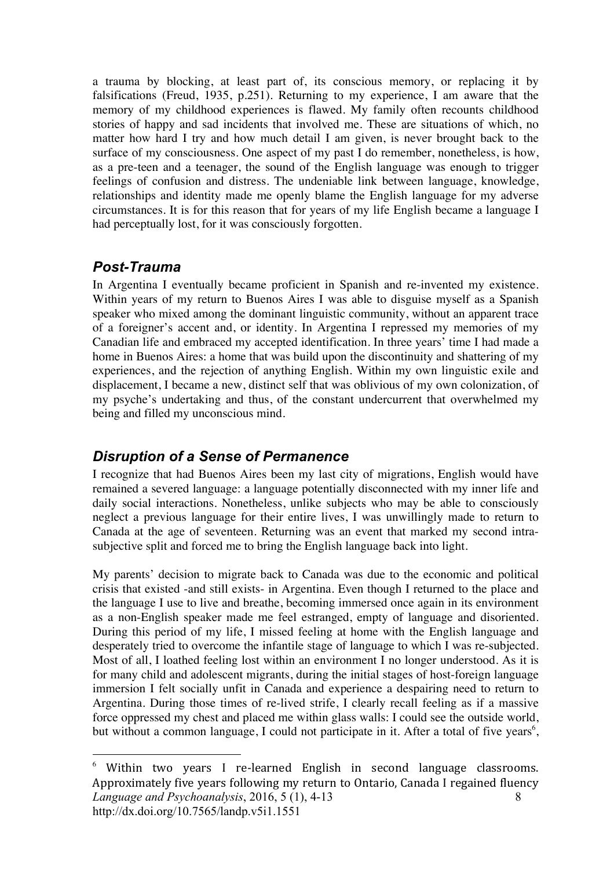a trauma by blocking, at least part of, its conscious memory, or replacing it by falsifications (Freud, 1935, p.251). Returning to my experience, I am aware that the memory of my childhood experiences is flawed. My family often recounts childhood stories of happy and sad incidents that involved me. These are situations of which, no matter how hard I try and how much detail I am given, is never brought back to the surface of my consciousness. One aspect of my past I do remember, nonetheless, is how, as a pre-teen and a teenager, the sound of the English language was enough to trigger feelings of confusion and distress. The undeniable link between language, knowledge, relationships and identity made me openly blame the English language for my adverse circumstances. It is for this reason that for years of my life English became a language I had perceptually lost, for it was consciously forgotten.

### *Post-Trauma*

 $\overline{a}$ 

In Argentina I eventually became proficient in Spanish and re-invented my existence. Within years of my return to Buenos Aires I was able to disguise myself as a Spanish speaker who mixed among the dominant linguistic community, without an apparent trace of a foreigner's accent and, or identity. In Argentina I repressed my memories of my Canadian life and embraced my accepted identification. In three years' time I had made a home in Buenos Aires: a home that was build upon the discontinuity and shattering of my experiences, and the rejection of anything English. Within my own linguistic exile and displacement, I became a new, distinct self that was oblivious of my own colonization, of my psyche's undertaking and thus, of the constant undercurrent that overwhelmed my being and filled my unconscious mind.

### *Disruption of a Sense of Permanence*

I recognize that had Buenos Aires been my last city of migrations, English would have remained a severed language: a language potentially disconnected with my inner life and daily social interactions. Nonetheless, unlike subjects who may be able to consciously neglect a previous language for their entire lives, I was unwillingly made to return to Canada at the age of seventeen. Returning was an event that marked my second intrasubjective split and forced me to bring the English language back into light.

My parents' decision to migrate back to Canada was due to the economic and political crisis that existed -and still exists- in Argentina. Even though I returned to the place and the language I use to live and breathe, becoming immersed once again in its environment as a non-English speaker made me feel estranged, empty of language and disoriented. During this period of my life, I missed feeling at home with the English language and desperately tried to overcome the infantile stage of language to which I was re-subjected. Most of all, I loathed feeling lost within an environment I no longer understood. As it is for many child and adolescent migrants, during the initial stages of host-foreign language immersion I felt socially unfit in Canada and experience a despairing need to return to Argentina. During those times of re-lived strife, I clearly recall feeling as if a massive force oppressed my chest and placed me within glass walls: I could see the outside world, but without a common language, I could not participate in it. After a total of five years<sup>6</sup>,

*Language and Psychoanalysis*, 2016, 5 (1), 4-13 http://dx.doi.org/10.7565/landp.v5i1.1551 8 <sup>6</sup> Within two years I re-learned English in second language classrooms. Approximately five years following my return to Ontario, Canada I regained fluency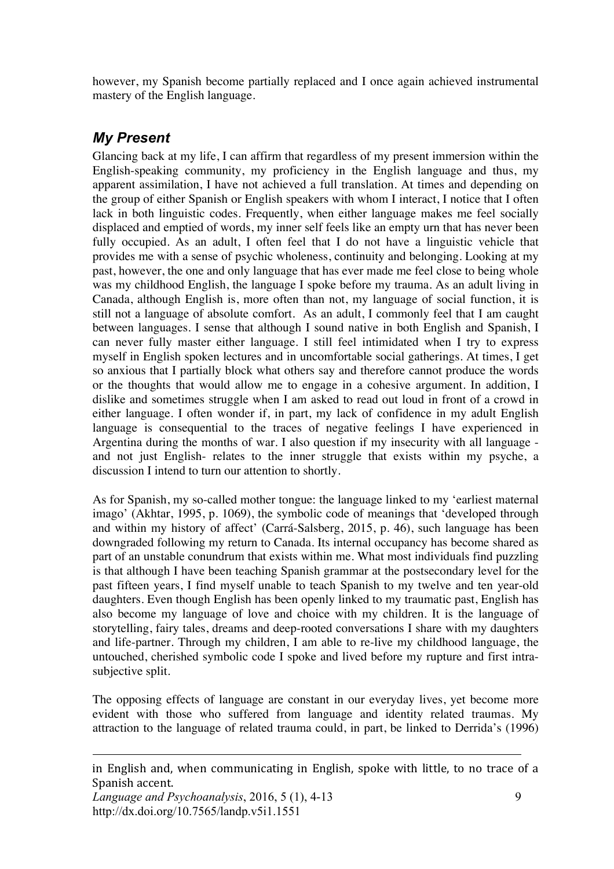however, my Spanish become partially replaced and I once again achieved instrumental mastery of the English language.

### *My Present*

Glancing back at my life, I can affirm that regardless of my present immersion within the English-speaking community, my proficiency in the English language and thus, my apparent assimilation, I have not achieved a full translation. At times and depending on the group of either Spanish or English speakers with whom I interact, I notice that I often lack in both linguistic codes. Frequently, when either language makes me feel socially displaced and emptied of words, my inner self feels like an empty urn that has never been fully occupied. As an adult, I often feel that I do not have a linguistic vehicle that provides me with a sense of psychic wholeness, continuity and belonging. Looking at my past, however, the one and only language that has ever made me feel close to being whole was my childhood English, the language I spoke before my trauma. As an adult living in Canada, although English is, more often than not, my language of social function, it is still not a language of absolute comfort. As an adult, I commonly feel that I am caught between languages. I sense that although I sound native in both English and Spanish, I can never fully master either language. I still feel intimidated when I try to express myself in English spoken lectures and in uncomfortable social gatherings. At times, I get so anxious that I partially block what others say and therefore cannot produce the words or the thoughts that would allow me to engage in a cohesive argument. In addition, I dislike and sometimes struggle when I am asked to read out loud in front of a crowd in either language. I often wonder if, in part, my lack of confidence in my adult English language is consequential to the traces of negative feelings I have experienced in Argentina during the months of war. I also question if my insecurity with all language and not just English- relates to the inner struggle that exists within my psyche, a discussion I intend to turn our attention to shortly.

As for Spanish, my so-called mother tongue: the language linked to my 'earliest maternal imago' (Akhtar, 1995, p. 1069), the symbolic code of meanings that 'developed through and within my history of affect' (Carrá-Salsberg, 2015, p. 46), such language has been downgraded following my return to Canada. Its internal occupancy has become shared as part of an unstable conundrum that exists within me. What most individuals find puzzling is that although I have been teaching Spanish grammar at the postsecondary level for the past fifteen years, I find myself unable to teach Spanish to my twelve and ten year-old daughters. Even though English has been openly linked to my traumatic past, English has also become my language of love and choice with my children. It is the language of storytelling, fairy tales, dreams and deep-rooted conversations I share with my daughters and life-partner. Through my children, I am able to re-live my childhood language, the untouched, cherished symbolic code I spoke and lived before my rupture and first intrasubjective split.

The opposing effects of language are constant in our everyday lives, yet become more evident with those who suffered from language and identity related traumas. My attraction to the language of related trauma could, in part, be linked to Derrida's (1996)

in English and, when communicating in English, spoke with little, to no trace of a Spanish accent.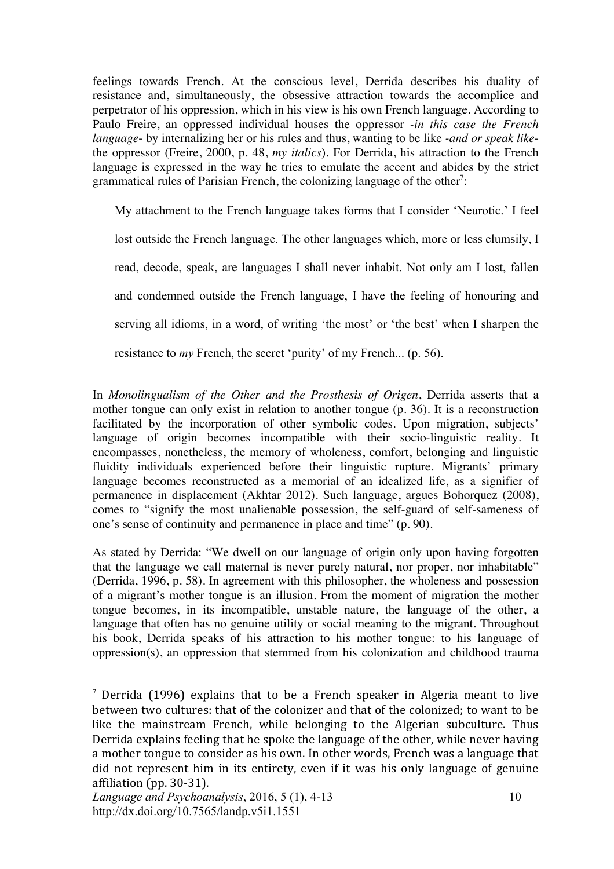feelings towards French. At the conscious level, Derrida describes his duality of resistance and, simultaneously, the obsessive attraction towards the accomplice and perpetrator of his oppression, which in his view is his own French language. According to Paulo Freire, an oppressed individual houses the oppressor *-in this case the French language*- by internalizing her or his rules and thus, wanting to be like *-and or speak like*the oppressor (Freire, 2000, p. 48, *my italics*). For Derrida, his attraction to the French language is expressed in the way he tries to emulate the accent and abides by the strict grammatical rules of Parisian French, the colonizing language of the other<sup>7</sup>:

My attachment to the French language takes forms that I consider 'Neurotic.' I feel lost outside the French language. The other languages which, more or less clumsily, I read, decode, speak, are languages I shall never inhabit. Not only am I lost, fallen and condemned outside the French language, I have the feeling of honouring and serving all idioms, in a word, of writing 'the most' or 'the best' when I sharpen the resistance to *my* French, the secret 'purity' of my French... (p. 56).

In *Monolingualism of the Other and the Prosthesis of Origen*, Derrida asserts that a mother tongue can only exist in relation to another tongue (p. 36). It is a reconstruction facilitated by the incorporation of other symbolic codes. Upon migration, subjects' language of origin becomes incompatible with their socio-linguistic reality. It encompasses, nonetheless, the memory of wholeness, comfort, belonging and linguistic fluidity individuals experienced before their linguistic rupture. Migrants' primary language becomes reconstructed as a memorial of an idealized life, as a signifier of permanence in displacement (Akhtar 2012). Such language, argues Bohorquez (2008), comes to "signify the most unalienable possession, the self-guard of self-sameness of one's sense of continuity and permanence in place and time" (p. 90).

As stated by Derrida: "We dwell on our language of origin only upon having forgotten that the language we call maternal is never purely natural, nor proper, nor inhabitable" (Derrida, 1996, p. 58). In agreement with this philosopher, the wholeness and possession of a migrant's mother tongue is an illusion. From the moment of migration the mother tongue becomes, in its incompatible, unstable nature, the language of the other, a language that often has no genuine utility or social meaning to the migrant. Throughout his book, Derrida speaks of his attraction to his mother tongue: to his language of oppression(s), an oppression that stemmed from his colonization and childhood trauma

<sup>&</sup>lt;sup>7</sup> Derrida (1996) explains that to be a French speaker in Algeria meant to live between two cultures: that of the colonizer and that of the colonized; to want to be like the mainstream French, while belonging to the Algerian subculture. Thus Derrida explains feeling that he spoke the language of the other, while never having a mother tongue to consider as his own. In other words, French was a language that did not represent him in its entirety, even if it was his only language of genuine affiliation (pp. 30-31).

*Language and Psychoanalysis*, 2016, 5 (1), 4-13 http://dx.doi.org/10.7565/landp.v5i1.1551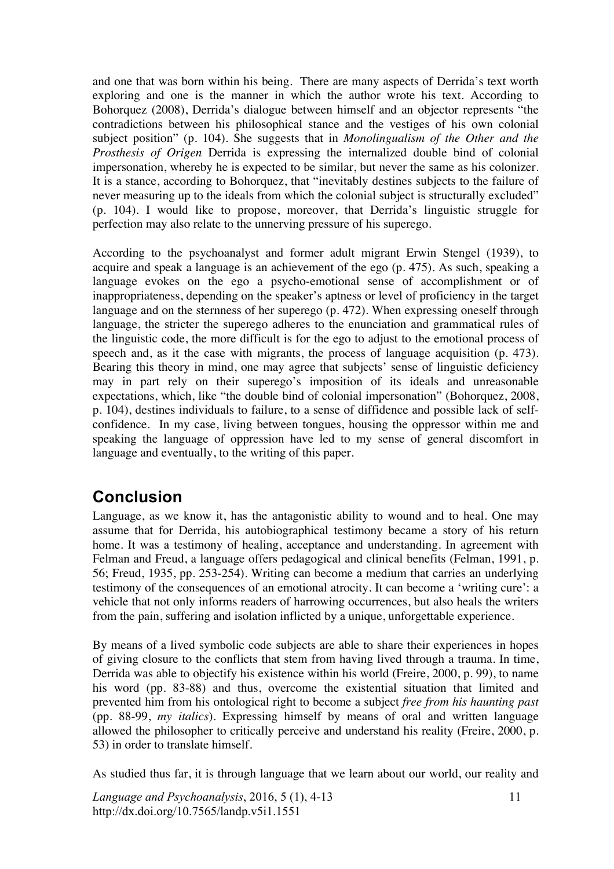and one that was born within his being. There are many aspects of Derrida's text worth exploring and one is the manner in which the author wrote his text. According to Bohorquez (2008), Derrida's dialogue between himself and an objector represents "the contradictions between his philosophical stance and the vestiges of his own colonial subject position" (p. 104). She suggests that in *Monolingualism of the Other and the Prosthesis of Origen* Derrida is expressing the internalized double bind of colonial impersonation, whereby he is expected to be similar, but never the same as his colonizer. It is a stance, according to Bohorquez, that "inevitably destines subjects to the failure of never measuring up to the ideals from which the colonial subject is structurally excluded" (p. 104). I would like to propose, moreover, that Derrida's linguistic struggle for perfection may also relate to the unnerving pressure of his superego.

According to the psychoanalyst and former adult migrant Erwin Stengel (1939), to acquire and speak a language is an achievement of the ego (p. 475). As such, speaking a language evokes on the ego a psycho-emotional sense of accomplishment or of inappropriateness, depending on the speaker's aptness or level of proficiency in the target language and on the sternness of her superego (p. 472). When expressing oneself through language, the stricter the superego adheres to the enunciation and grammatical rules of the linguistic code, the more difficult is for the ego to adjust to the emotional process of speech and, as it the case with migrants, the process of language acquisition (p. 473). Bearing this theory in mind, one may agree that subjects' sense of linguistic deficiency may in part rely on their superego's imposition of its ideals and unreasonable expectations, which, like "the double bind of colonial impersonation" (Bohorquez, 2008, p. 104), destines individuals to failure, to a sense of diffidence and possible lack of selfconfidence. In my case, living between tongues, housing the oppressor within me and speaking the language of oppression have led to my sense of general discomfort in language and eventually, to the writing of this paper.

## **Conclusion**

Language, as we know it, has the antagonistic ability to wound and to heal. One may assume that for Derrida, his autobiographical testimony became a story of his return home. It was a testimony of healing, acceptance and understanding. In agreement with Felman and Freud, a language offers pedagogical and clinical benefits (Felman, 1991, p. 56; Freud, 1935, pp. 253-254). Writing can become a medium that carries an underlying testimony of the consequences of an emotional atrocity. It can become a 'writing cure': a vehicle that not only informs readers of harrowing occurrences, but also heals the writers from the pain, suffering and isolation inflicted by a unique, unforgettable experience.

By means of a lived symbolic code subjects are able to share their experiences in hopes of giving closure to the conflicts that stem from having lived through a trauma. In time, Derrida was able to objectify his existence within his world (Freire, 2000, p. 99), to name his word (pp. 83-88) and thus, overcome the existential situation that limited and prevented him from his ontological right to become a subject *free from his haunting past* (pp. 88-99, *my italics*). Expressing himself by means of oral and written language allowed the philosopher to critically perceive and understand his reality (Freire, 2000, p. 53) in order to translate himself.

As studied thus far, it is through language that we learn about our world, our reality and

*Language and Psychoanalysis*, 2016, 5 (1), 4-13 http://dx.doi.org/10.7565/landp.v5i1.1551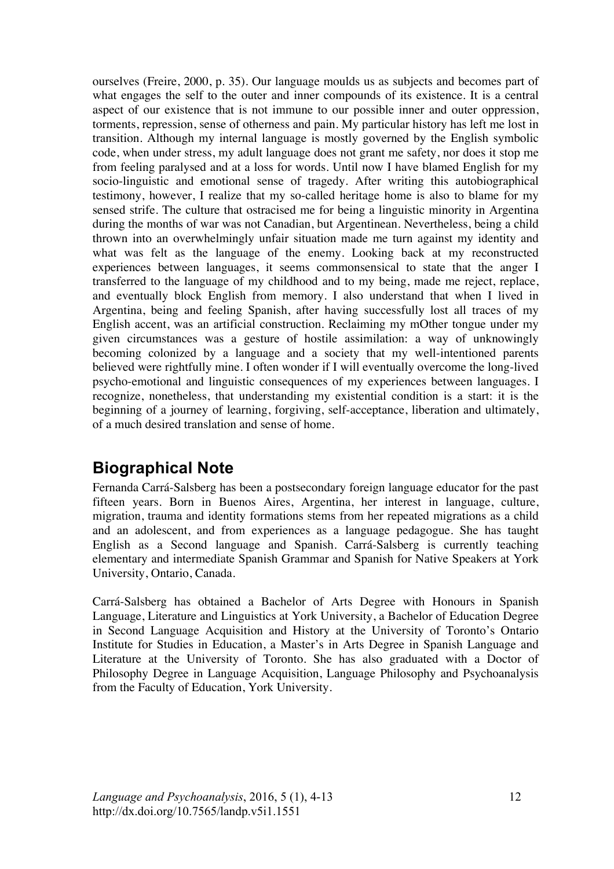ourselves (Freire, 2000, p. 35). Our language moulds us as subjects and becomes part of what engages the self to the outer and inner compounds of its existence. It is a central aspect of our existence that is not immune to our possible inner and outer oppression, torments, repression, sense of otherness and pain. My particular history has left me lost in transition. Although my internal language is mostly governed by the English symbolic code, when under stress, my adult language does not grant me safety, nor does it stop me from feeling paralysed and at a loss for words. Until now I have blamed English for my socio-linguistic and emotional sense of tragedy. After writing this autobiographical testimony, however, I realize that my so-called heritage home is also to blame for my sensed strife. The culture that ostracised me for being a linguistic minority in Argentina during the months of war was not Canadian, but Argentinean. Nevertheless, being a child thrown into an overwhelmingly unfair situation made me turn against my identity and what was felt as the language of the enemy. Looking back at my reconstructed experiences between languages, it seems commonsensical to state that the anger I transferred to the language of my childhood and to my being, made me reject, replace, and eventually block English from memory. I also understand that when I lived in Argentina, being and feeling Spanish, after having successfully lost all traces of my English accent, was an artificial construction. Reclaiming my mOther tongue under my given circumstances was a gesture of hostile assimilation: a way of unknowingly becoming colonized by a language and a society that my well-intentioned parents believed were rightfully mine. I often wonder if I will eventually overcome the long-lived psycho-emotional and linguistic consequences of my experiences between languages. I recognize, nonetheless, that understanding my existential condition is a start: it is the beginning of a journey of learning, forgiving, self-acceptance, liberation and ultimately, of a much desired translation and sense of home.

# **Biographical Note**

Fernanda Carrá-Salsberg has been a postsecondary foreign language educator for the past fifteen years. Born in Buenos Aires, Argentina, her interest in language, culture, migration, trauma and identity formations stems from her repeated migrations as a child and an adolescent, and from experiences as a language pedagogue. She has taught English as a Second language and Spanish. Carrá-Salsberg is currently teaching elementary and intermediate Spanish Grammar and Spanish for Native Speakers at York University, Ontario, Canada.

Carrá-Salsberg has obtained a Bachelor of Arts Degree with Honours in Spanish Language, Literature and Linguistics at York University, a Bachelor of Education Degree in Second Language Acquisition and History at the University of Toronto's Ontario Institute for Studies in Education, a Master's in Arts Degree in Spanish Language and Literature at the University of Toronto. She has also graduated with a Doctor of Philosophy Degree in Language Acquisition, Language Philosophy and Psychoanalysis from the Faculty of Education, York University.